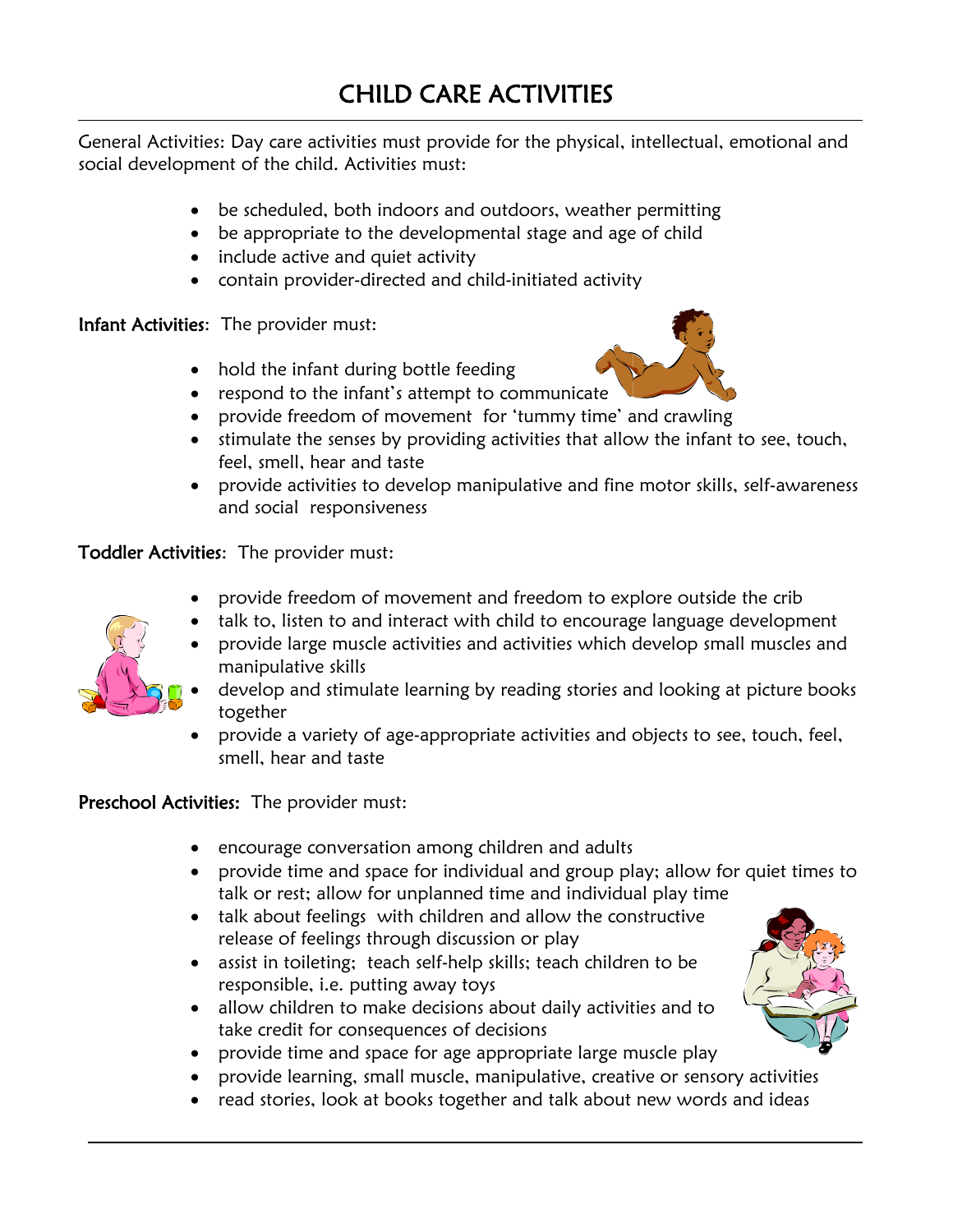$\overline{a}$ General Activities: Day care activities must provide for the physical, intellectual, emotional and social development of the child. Activities must:

- be scheduled, both indoors and outdoors, weather permitting
- be appropriate to the developmental stage and age of child
- include active and quiet activity
- contain provider-directed and child-initiated activity

Infant Activities: The provider must:

- hold the infant during bottle feeding
- respond to the infant's attempt to communicate
- provide freedom of movement for 'tummy time' and crawling
- stimulate the senses by providing activities that allow the infant to see, touch, feel, smell, hear and taste
- provide activities to develop manipulative and fine motor skills, self-awareness and social responsiveness

Toddler Activities: The provider must:

- provide freedom of movement and freedom to explore outside the crib
- talk to, listen to and interact with child to encourage language development



- develop and stimulate learning by reading stories and looking at picture books together
- provide a variety of age-appropriate activities and objects to see, touch, feel, smell, hear and taste

Preschool Activities: The provider must:

- encourage conversation among children and adults
- provide time and space for individual and group play; allow for quiet times to talk or rest; allow for unplanned time and individual play time
- talk about feelings with children and allow the constructive release of feelings through discussion or play
- assist in toileting; teach self-help skills; teach children to be responsible, i.e. putting away toys
- allow children to make decisions about daily activities and to take credit for consequences of decisions
- provide time and space for age appropriate large muscle play
- provide learning, small muscle, manipulative, creative or sensory activities
- read stories, look at books together and talk about new words and ideas

j